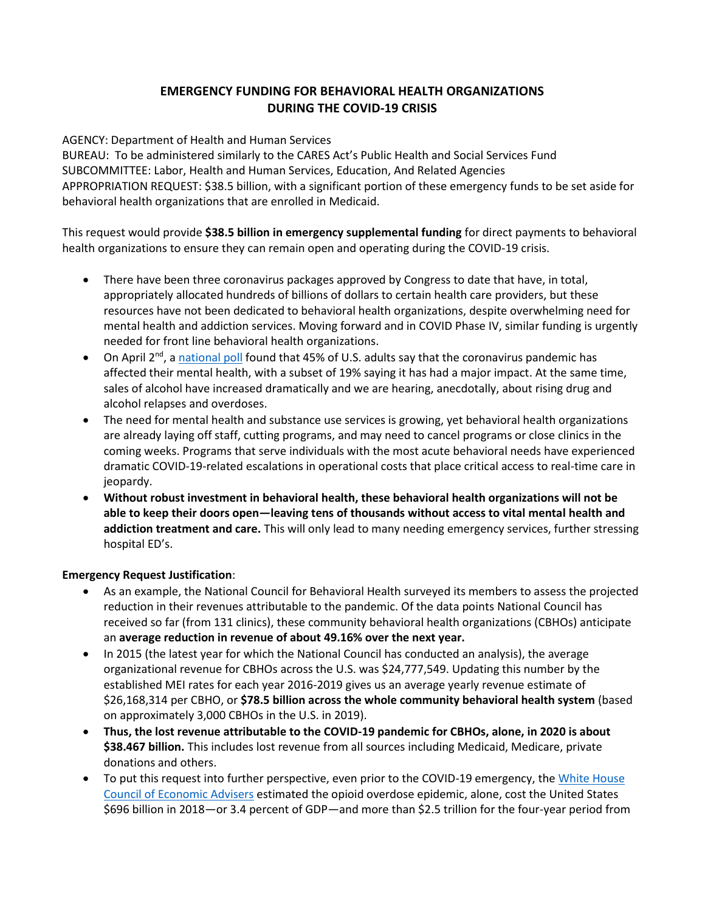## **EMERGENCY FUNDING FOR BEHAVIORAL HEALTH ORGANIZATIONS DURING THE COVID-19 CRISIS**

AGENCY: Department of Health and Human Services

BUREAU: To be administered similarly to the CARES Act's Public Health and Social Services Fund SUBCOMMITTEE: Labor, Health and Human Services, Education, And Related Agencies APPROPRIATION REQUEST: \$38.5 billion, with a significant portion of these emergency funds to be set aside for behavioral health organizations that are enrolled in Medicaid.

This request would provide **\$38.5 billion in emergency supplemental funding** for direct payments to behavioral health organizations to ensure they can remain open and operating during the COVID-19 crisis.

- There have been three coronavirus packages approved by Congress to date that have, in total, appropriately allocated hundreds of billions of dollars to certain health care providers, but these resources have not been dedicated to behavioral health organizations, despite overwhelming need for mental health and addiction services. Moving forward and in COVID Phase IV, similar funding is urgently needed for front line behavioral health organizations.
- On April  $2^{nd}$ , a [national poll](https://www.kff.org/health-reform/report/kff-health-tracking-poll-early-april-2020/) found that 45% of U.S. adults say that the coronavirus pandemic has affected their mental health, with a subset of 19% saying it has had a major impact. At the same time, sales of alcohol have increased dramatically and we are hearing, anecdotally, about rising drug and alcohol relapses and overdoses.
- The need for mental health and substance use services is growing, yet behavioral health organizations are already laying off staff, cutting programs, and may need to cancel programs or close clinics in the coming weeks. Programs that serve individuals with the most acute behavioral needs have experienced dramatic COVID-19-related escalations in operational costs that place critical access to real-time care in jeopardy.
- **Without robust investment in behavioral health, these behavioral health organizations will not be able to keep their doors open—leaving tens of thousands without access to vital mental health and addiction treatment and care.** This will only lead to many needing emergency services, further stressing hospital ED's.

## **Emergency Request Justification**:

- As an example, the National Council for Behavioral Health surveyed its members to assess the projected reduction in their revenues attributable to the pandemic. Of the data points National Council has received so far (from 131 clinics), these community behavioral health organizations (CBHOs) anticipate an **average reduction in revenue of about 49.16% over the next year.**
- In 2015 (the latest year for which the National Council has conducted an analysis), the average organizational revenue for CBHOs across the U.S. was \$24,777,549. Updating this number by the established MEI rates for each year 2016-2019 gives us an average yearly revenue estimate of \$26,168,314 per CBHO, or **\$78.5 billion across the whole community behavioral health system** (based on approximately 3,000 CBHOs in the U.S. in 2019).
- **Thus, the lost revenue attributable to the COVID-19 pandemic for CBHOs, alone, in 2020 is about \$38.467 billion.** This includes lost revenue from all sources including Medicaid, Medicare, private donations and others.
- To put this request into further perspective, even prior to the COVID-19 emergency, th[e White House](https://www.whitehouse.gov/articles/full-cost-opioid-crisis-2-5-trillion-four-years/)  [Council of Economic Advisers](https://www.whitehouse.gov/articles/full-cost-opioid-crisis-2-5-trillion-four-years/) estimated the opioid overdose epidemic, alone, cost the United States \$696 billion in 2018—or 3.4 percent of GDP—and more than \$2.5 trillion for the four-year period from